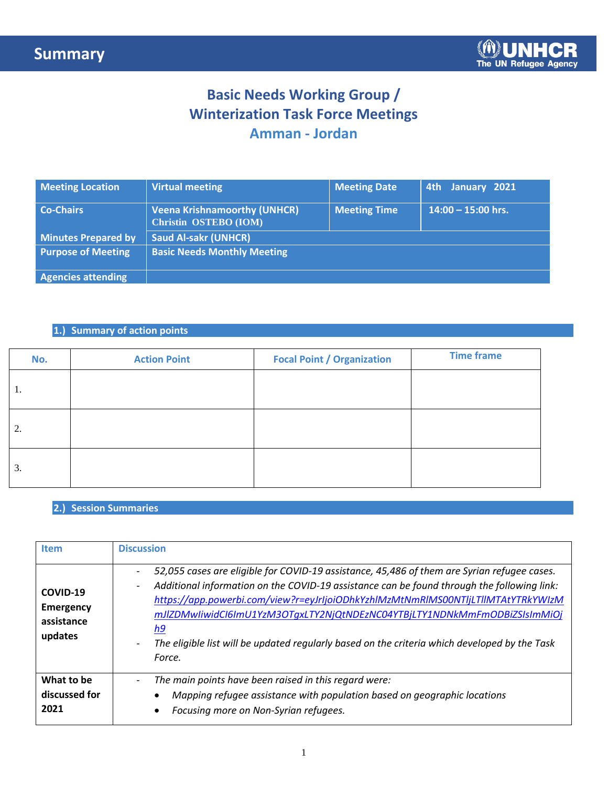## **Basic Needs Working Group / Winterization Task Force Meetings Amman - Jordan**

| <b>Meeting Location</b>    | <b>Virtual meeting</b>                                              | <b>Meeting Date</b> | 4th January 2021     |
|----------------------------|---------------------------------------------------------------------|---------------------|----------------------|
| <b>Co-Chairs</b>           | <b>Veena Krishnamoorthy (UNHCR)</b><br><b>Christin OSTEBO (IOM)</b> | <b>Meeting Time</b> | $14:00 - 15:00$ hrs. |
| <b>Minutes Prepared by</b> | <b>Saud Al-sakr (UNHCR)</b>                                         |                     |                      |
| <b>Purpose of Meeting</b>  | <b>Basic Needs Monthly Meeting</b>                                  |                     |                      |
| <b>Agencies attending</b>  |                                                                     |                     |                      |

### **1.) Summary of action points**

| No. | <b>Action Point</b> | <b>Focal Point / Organization</b> | <b>Time frame</b> |
|-----|---------------------|-----------------------------------|-------------------|
| 1.  |                     |                                   |                   |
| 2.  |                     |                                   |                   |
| 3.  |                     |                                   |                   |

#### **2.) Session Summaries**

| Item                                                  | <b>Discussion</b>                                                                                                                                                                                                                                                                                                                                                                                                                                                                                                                        |
|-------------------------------------------------------|------------------------------------------------------------------------------------------------------------------------------------------------------------------------------------------------------------------------------------------------------------------------------------------------------------------------------------------------------------------------------------------------------------------------------------------------------------------------------------------------------------------------------------------|
| COVID-19<br><b>Emergency</b><br>assistance<br>updates | 52,055 cases are eligible for COVID-19 assistance, 45,486 of them are Syrian refugee cases.<br>-<br>Additional information on the COVID-19 assistance can be found through the following link:<br>$\overline{\phantom{a}}$<br>https://app.powerbi.com/view?r=eyJrIjoiODhkYzhlMzMtNmRlMS00NTIjLTllMTAtYTRkYWIzM<br>mJIZDMwIiwidCI6ImU1YzM3OTqxLTY2NjQtNDEzNC04YTBjLTY1NDNkMmFmODBiZSIsImMiOj<br>h9<br>The eligible list will be updated regularly based on the criteria which developed by the Task<br>$\overline{\phantom{a}}$<br>Force. |
| What to be<br>discussed for<br>2021                   | The main points have been raised in this regard were:<br>$\overline{\phantom{a}}$<br>Mapping refugee assistance with population based on geographic locations<br>Focusing more on Non-Syrian refugees.                                                                                                                                                                                                                                                                                                                                   |